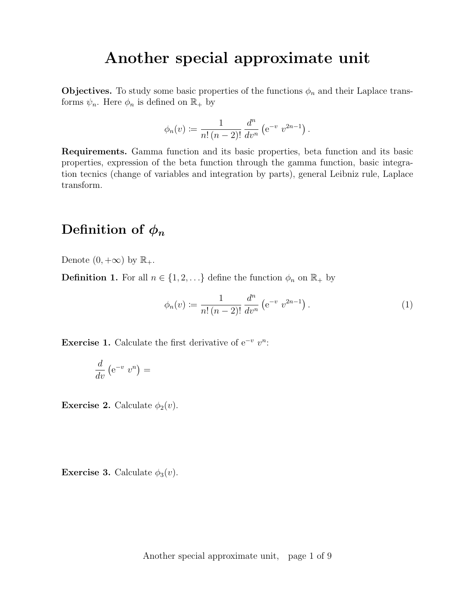# Another special approximate unit

**Objectives.** To study some basic properties of the functions  $\phi_n$  and their Laplace transforms  $\psi_n$ . Here  $\phi_n$  is defined on  $\mathbb{R}_+$  by

$$
\phi_n(v) := \frac{1}{n! \, (n-2)!} \, \frac{d^n}{dv^n} \left( e^{-v} \, v^{2n-1} \right).
$$

Requirements. Gamma function and its basic properties, beta function and its basic properties, expression of the beta function through the gamma function, basic integration tecnics (change of variables and integration by parts), general Leibniz rule, Laplace transform.

#### Definition of  $\phi_n$

Denote  $(0, +\infty)$  by  $\mathbb{R}_+$ .

**Definition 1.** For all  $n \in \{1, 2, ...\}$  define the function  $\phi_n$  on  $\mathbb{R}_+$  by

$$
\phi_n(v) := \frac{1}{n! \, (n-2)!} \, \frac{d^n}{dv^n} \left( e^{-v} \, v^{2n-1} \right). \tag{1}
$$

Exercise 1. Calculate the first derivative of  $e^{-v} v^n$ :

$$
\frac{d}{dv}\left(e^{-v}v^n\right) =
$$

**Exercise 2.** Calculate  $\phi_2(v)$ .

**Exercise 3.** Calculate  $\phi_3(v)$ .

Another special approximate unit, page 1 of 9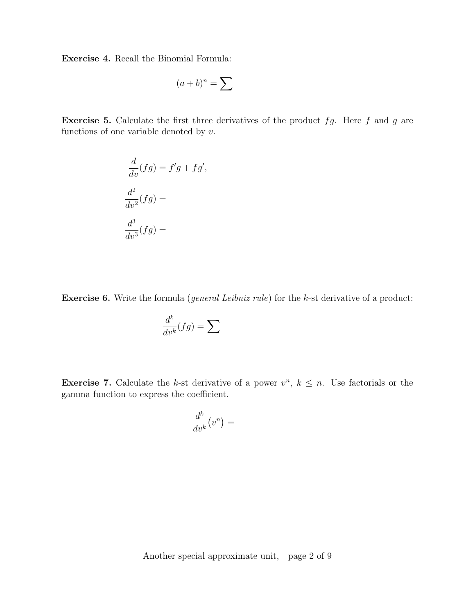Exercise 4. Recall the Binomial Formula:

$$
(a+b)^n = \sum
$$

**Exercise 5.** Calculate the first three derivatives of the product  $fg$ . Here  $f$  and  $g$  are functions of one variable denoted by  $v$ .

$$
\frac{d}{dv}(fg) = f'g + fg',
$$

$$
\frac{d^2}{dv^2}(fg) =
$$

$$
\frac{d^3}{dv^3}(fg) =
$$

**Exercise 6.** Write the formula (*general Leibniz rule*) for the k-st derivative of a product:

$$
\frac{d^k}{dv^k}(fg) = \sum
$$

**Exercise 7.** Calculate the k-st derivative of a power  $v^n$ ,  $k \leq n$ . Use factorials or the gamma function to express the coefficient.

$$
\frac{d^k}{dv^k}(v^n) =
$$

Another special approximate unit, page 2 of 9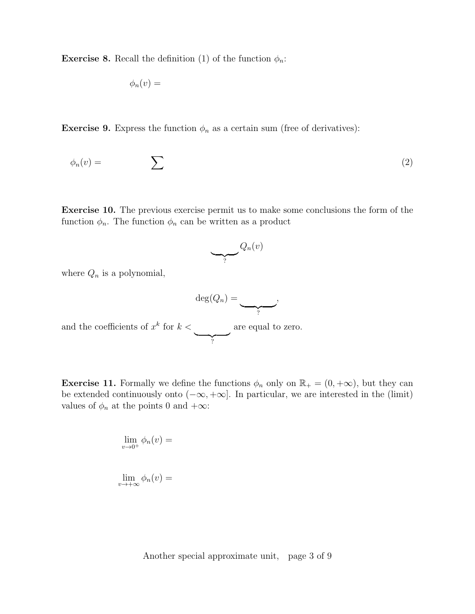**Exercise 8.** Recall the definition (1) of the function  $\phi_n$ :

$$
\phi_n(v) =
$$

**Exercise 9.** Express the function  $\phi_n$  as a certain sum (free of derivatives):

$$
\phi_n(v) = \sum \tag{2}
$$

Exercise 10. The previous exercise permit us to make some conclusions the form of the function  $\phi_n$ . The function  $\phi_n$  can be written as a product

$$
\underbrace{\qquad \qquad }_{?} Q_n(v)
$$

where  $Q_n$  is a polynomial,

$$
\deg(Q_n) = \underbrace{\qquad \qquad }_{?},
$$

and the coefficients of  $x^k$  for  $k <$  $\overline{Y}$ are equal to zero.

**Exercise 11.** Formally we define the functions  $\phi_n$  only on  $\mathbb{R}_+ = (0, +\infty)$ , but they can be extended continuously onto  $(-\infty, +\infty]$ . In particular, we are interested in the (limit) values of  $\phi_n$  at the points 0 and  $+\infty$ :

$$
\lim_{v \to 0^+} \phi_n(v) =
$$
  

$$
\lim_{v \to +\infty} \phi_n(v) =
$$

Another special approximate unit, page 3 of 9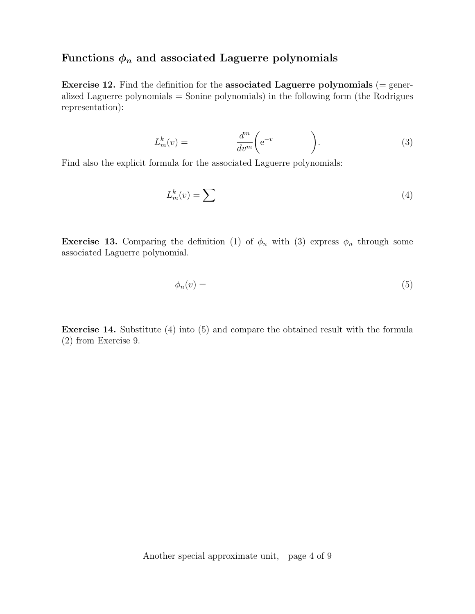#### Functions  $\phi_n$  and associated Laguerre polynomials

**Exercise 12.** Find the definition for the associated Laguerre polynomials  $(=$  generalized Laguerre polynomials = Sonine polynomials) in the following form (the Rodrigues representation):

$$
L_m^k(v) = \frac{d^m}{dv^m} \left( e^{-v} \right). \tag{3}
$$

Find also the explicit formula for the associated Laguerre polynomials:

$$
L_m^k(v) = \sum \tag{4}
$$

**Exercise 13.** Comparing the definition (1) of  $\phi_n$  with (3) express  $\phi_n$  through some associated Laguerre polynomial.

$$
\phi_n(v) = \tag{5}
$$

Exercise 14. Substitute (4) into (5) and compare the obtained result with the formula (2) from Exercise 9.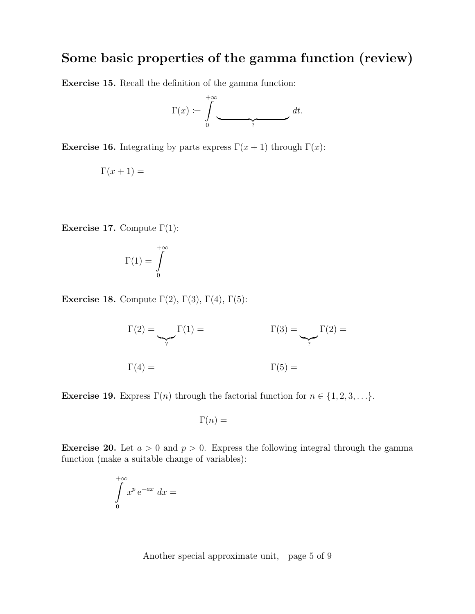## Some basic properties of the gamma function (review)

Exercise 15. Recall the definition of the gamma function:

$$
\Gamma(x) := \int\limits_0^{+\infty} \underbrace{\hspace{2cm}}^{\hspace{2cm}+} dt.
$$

Exercise 16. Integrating by parts express  $\Gamma(x+1)$  through  $\Gamma(x)$ :

$$
\Gamma(x+1) =
$$

Exercise 17. Compute  $\Gamma(1)$ :

$$
\Gamma(1)=\int\limits_0^{+\infty}
$$

Exercise 18. Compute  $\Gamma(2)$ ,  $\Gamma(3)$ ,  $\Gamma(4)$ ,  $\Gamma(5)$ :

$$
\Gamma(2) = \underbrace{\qquad}_{?} \Gamma(1) = \underbrace{\qquad}_{?} \Gamma(2) = \underbrace{\qquad}_{?} \Gamma(2) = \underbrace{\qquad}_{?} \Gamma(3) = \underbrace{\qquad}_{?} \Gamma(3) = \underbrace{\qquad}_{?} \Gamma(4) = \underbrace{\qquad}_{?} \Gamma(5) = \underbrace{\qquad}_{?} \Gamma(6) = \underbrace{\qquad}_{?} \Gamma(7) = \underbrace{\qquad}_{?} \Gamma(8) = \underbrace{\qquad}_{?} \Gamma(9) = \underbrace{\qquad}_{?} \Gamma(1) = \underbrace{\qquad}_{?} \Gamma(1) = \underbrace{\qquad}_{?} \Gamma(1) = \underbrace{\qquad}_{?} \Gamma(2) = \underbrace{\qquad}_{?} \Gamma(3) = \underbrace{\qquad}_{?} \Gamma(4) = \underbrace{\qquad}_{?} \Gamma(5) = \underbrace{\qquad}_{?} \Gamma(6) = \underbrace{\qquad}_{?} \Gamma(7) = \underbrace{\qquad}_{?} \Gamma(8) = \underbrace{\qquad}_{?} \Gamma(9) = \underbrace{\qquad}_{?} \Gamma(1) = \underbrace{\qquad}_{?} \Gamma(1) = \underbrace{\qquad}_{?} \Gamma(1) = \underbrace{\qquad}_{?} \Gamma(2) = \underbrace{\qquad}_{?} \Gamma(1) = \underbrace{\qquad}_{?} \Gamma(2) = \underbrace{\qquad}_{?} \Gamma(3) = \underbrace{\qquad}_{?} \Gamma(4) = \underbrace{\qquad}_{?} \Gamma(5) = \underbrace{\qquad}_{?} \Gamma(6) = \underbrace{\qquad}_{?} \Gamma(7) = \underbrace{\qquad}_{?} \Gamma(8) = \underbrace{\qquad}_{?} \Gamma(9) = \underbrace{\qquad}_{?} \Gamma(1) = \underbrace{\qquad}_{?} \Gamma(1) = \underbrace{\qquad}_{?} \Gamma(1) = \underbrace{\qquad}_{?} \Gamma(1) = \underbrace{\qquad}_{?} \Gamma(1) = \underbrace{\qquad}_{?} \Gamma(2) = \underbrace{\qquad}_{?} \Gamma(1) = \underbrace{\qquad}_{?} \Gamma(1) = \underbrace{\qquad}_{?} \Gamma(1) = \underbrace{\qquad}_{?} \Gamma(1) = \underbrace{\qquad}_{?} \Gamma(1) = \underbrace{\qquad}_{?} \Gamma(1) = \underbrace{\qquad}_{?} \Gamma(1) = \underbrace{\qquad}_{?} \Gamma(1) = \underbrace{\qquad}_{?} \Gamma(1) = \underbrace{\
$$

**Exercise 19.** Express  $\Gamma(n)$  through the factorial function for  $n \in \{1, 2, 3, \ldots\}$ .

$$
\Gamma(n) =
$$

**Exercise 20.** Let  $a > 0$  and  $p > 0$ . Express the following integral through the gamma function (make a suitable change of variables):

$$
\int\limits_{0}^{+\infty} x^{p} e^{-ax} dx =
$$

Another special approximate unit, page 5 of 9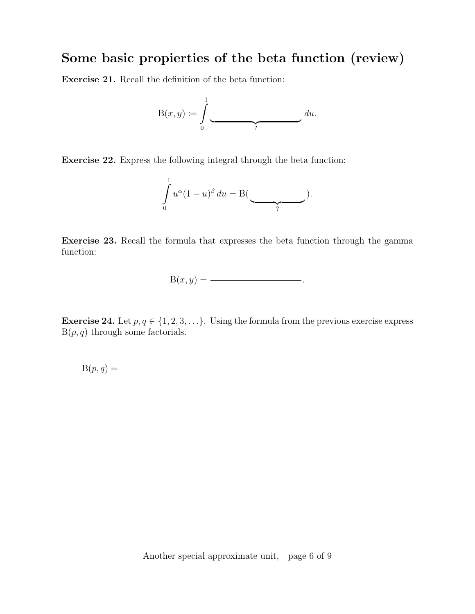## Some basic propierties of the beta function (review)

Exercise 21. Recall the definition of the beta function:

$$
\mathrm{B}(x,y) \coloneqq \int\limits_0^1
$$
 du.

Exercise 22. Express the following integral through the beta function:

$$
\int_{0}^{1} u^{\alpha} (1-u)^{\beta} du = B(\underbrace{\qquad}_{?}).
$$

Exercise 23. Recall the formula that expresses the beta function through the gamma function:

$$
B(x, y) = \underline{\hspace{2cm}}.
$$

Exercise 24. Let  $p, q \in \{1, 2, 3, \ldots\}$ . Using the formula from the previous exercise express  $B(p, q)$  through some factorials.

 $B(p, q) =$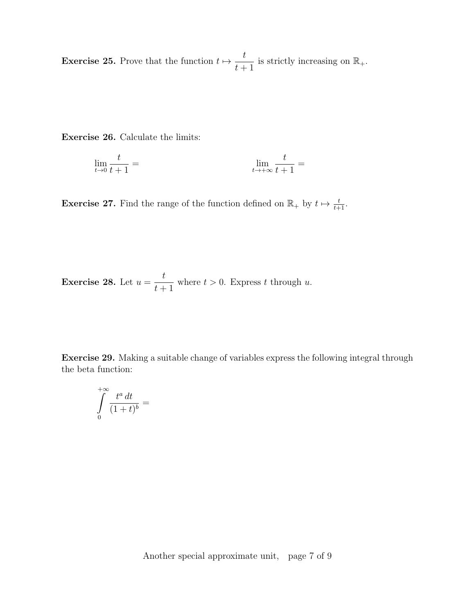**Exercise 25.** Prove that the function  $t \mapsto \frac{t}{t}$  $\frac{t}{t+1}$  is strictly increasing on  $\mathbb{R}_+$ .

Exercise 26. Calculate the limits:

$$
\lim_{t \to 0} \frac{t}{t+1} = \lim_{t \to +\infty} \frac{t}{t+1} =
$$

**Exercise 27.** Find the range of the function defined on  $\mathbb{R}_+$  by  $t \mapsto \frac{t}{t+1}$ .

**Exercise 28.** Let 
$$
u = \frac{t}{t+1}
$$
 where  $t > 0$ . Express t through u.

Exercise 29. Making a suitable change of variables express the following integral through the beta function:

$$
\int\limits_0^{+\infty}\!\frac{t^a\,dt}{(1+t)^b}=
$$

Another special approximate unit, page 7 of 9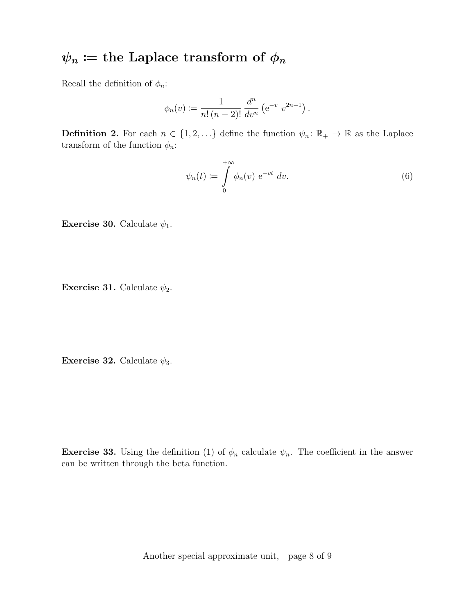# $\psi_n :=$  the Laplace transform of  $\phi_n$

Recall the definition of  $\phi_n$ :

$$
\phi_n(v) := \frac{1}{n! \, (n-2)!} \, \frac{d^n}{dv^n} \left( e^{-v} \, v^{2n-1} \right).
$$

**Definition 2.** For each  $n \in \{1, 2, ...\}$  define the function  $\psi_n : \mathbb{R}_+ \to \mathbb{R}$  as the Laplace transform of the function  $\phi_n$ :

$$
\psi_n(t) := \int\limits_0^{+\infty} \phi_n(v) \, \mathrm{e}^{-vt} \, dv. \tag{6}
$$

Exercise 30. Calculate  $\psi_1$ .

**Exercise 31.** Calculate  $\psi_2$ .

Exercise 32. Calculate  $\psi_3$ .

**Exercise 33.** Using the definition (1) of  $\phi_n$  calculate  $\psi_n$ . The coefficient in the answer can be written through the beta function.

Another special approximate unit, page 8 of 9